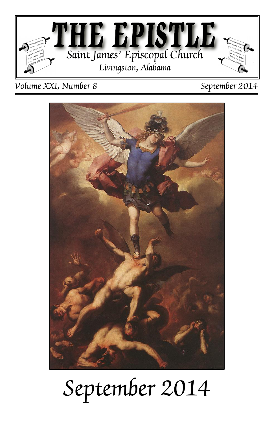

*Volume XXI, Number 8 September 2014*



# *September 2014*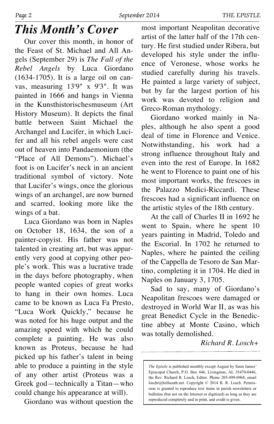#### *This Month's Cover*

Our cover this month, in honor of the Feast of St. Michael and All Angels (September 29) is *The Fall of the Rebel Angels* by Luca Giordano (1634-1705). It is a large oil on canvas, measuring 13'9" x 9'3". It was painted in 1666 and hangs in Vienna in the Kunsthistorischesmuseum (Art History Museum). It depicts the final battle between Saint Michael the Archangel and Lucifer, in which Lucifer and all his rebel angels were cast out of heaven into Pandaemonium (the "Place of All Demons"). Michael's foot is on Lucifer's neck in an ancient traditional symbol of victory. Note that Lucifer's wings, once the glorious wings of an archangel, are now burned and scarred, looking more like the wings of a bat.

Luca Giordano was born in Naples on October 18, 1634, the son of a painter-copyist. His father was not talented in creating art, but was apparently very good at copying other people's work. This was a lucrative trade in the days before photography, when people wanted copies of great works to hang in their own homes. Luca came to be known as Luca Fa Presto, "Luca Work Quickly," because he was noted for his huge output and the amazing speed with which he could complete a painting. He was also known as Proteus, because he had picked up his father's talent in being able to produce a painting in the style of any other artist (Proteus was a Greek god—technically a Titan—who could change his appearance at will).

Giordano was without question the

most important Neapolitan decorative artist of the latter half of the 17th century. He first studied under Ribera, but developed his style under the influence of Veronese, whose works he studied carefully during his travels. He painted a large variety of subject, but by far the largest portion of his work was devoted to religion and Greco-Roman mythology.

Giordano worked mainly in Naples, although he also spent a good deal of time in Florence and Venice. Notwithstanding, his work had a strong influence throughout Italy and even into the rest of Europe. In 1682 he went to Florence to paint one of his most important works, the frescoes in the Palazzo Medici-Riccardi. These frescoes had a significant influence on the artistic styles of the 18th century.

At the call of Charles II in 1692 he went to Spain, where he spent 10 years painting in Madrid, Toledo and the Escorial. In 1702 he returned to Naples, where he painted the ceiling of the Cappella de Tesoro de San Martino, completing it in 1704. He died in Naples on January 3, 1705.

Sad to say, many of Giordano's Neapolitan frescoes were damaged or destroyed in World War II, as was his great Benedict Cycle in the Benedictine abbey at Monte Casino, which was totally demolished.

*Richard R. Losch+*

*The Epistle* is published monthly except August by Saint James' Episcopal Church, P.O. Box 446, Livingston, AL 35470-0446, the Rev. Richard R. Losch, Editor. Phone 205-499-0968, email loschr@bellsouth.net. Copyright © 2014 R. R. Losch. Permission is granted to reproduce text items in parish newsletters or bulletins (but not on the Internet or digitized) as long as they are reproduced completely and in print, and credit is given.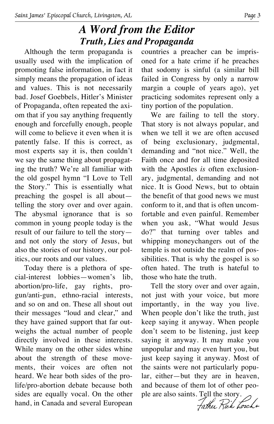#### *A Word from the Editor Truth, Lies and Propaganda*

Although the term propaganda is usually used with the implication of promoting false information, in fact it simply means the propagation of ideas and values. This is not necessarily bad. Josef Goebbels, Hitler's Minister of Propaganda, often repeated the axiom that if you say anything frequently enough and forcefully enough, people will come to believe it even when it is patently false. If this is correct, as most experts say it is, then couldn't we say the same thing about propagating the truth? We're all familiar with the old gospel hymn "I Love to Tell the Story." This is essentially what preaching the gospel is all about telling the story over and over again. The abysmal ignorance that is so common in young people today is the result of our failure to tell the story and not only the story of Jesus, but also the stories of our history, our politics, our roots and our values.

Today there is a plethora of special-interest lobbies—women's lib, abortion/pro-life, gay rights, progun/anti-gun, ethno-racial interests, and so on and on. These all shout out their messages "loud and clear," and they have gained support that far outweighs the actual number of people directly involved in these interests. While many on the other sides whine about the strength of these movements, their voices are often not heard. We hear both sides of the prolife/pro-abortion debate because both sides are equally vocal. On the other hand, in Canada and several European countries a preacher can be imprisoned for a hate crime if he preaches that sodomy is sinful (a similar bill failed in Congress by only a narrow margin a couple of years ago), yet practicing sodomites represent only a tiny portion of the population.

We are failing to tell the story. That story is not always popular, and when we tell it we are often accused of being exclusionary, judgmental, demanding and "not nice." Well, the Faith once and for all time deposited with the Apostles *is* often exclusionary, judgmental, demanding and not nice. It is Good News, but to obtain the benefit of that good news we must conform to it, and that is often uncomfortable and even painful. Remember when you ask, "What would Jesus do?" that turning over tables and whipping moneychangers out of the temple is not outside the realm of possibilities. That is why the gospel is so often hated. The truth is hateful to those who hate the truth.

Tell the story over and over again, not just with your voice, but more importantly, in the way you live. When people don't like the truth, just keep saying it anyway. When people don't seem to be listening, just keep saying it anyway. It may make you unpopular and may even hurt you, but just keep saying it anyway. Most of the saints were not particularly popular, either—but they are in heaven, and because of them lot of other people are also saints. Tell the story.

Father Rick Lorch+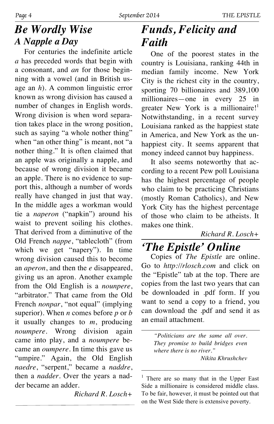#### *Be Wordly Wise A Napple a Day*

For centuries the indefinite article *a* has preceded words that begin with a consonant, and *an* for those beginning with a vowel (and in British usage an *h*). A common linguistic error known as wrong division has caused a number of changes in English words. Wrong division is when word separation takes place in the wrong position, such as saying "a whole nother thing" when "an other thing" is meant, not "a nother thing." It is often claimed that an apple was originally a napple, and because of wrong division it became an apple. There is no evidence to support this, although a number of words really have changed in just that way. In the middle ages a workman would tie a *naperon* ("napkin") around his waist to prevent soiling his clothes. That derived from a diminutive of the Old French *nappe*, "tablecloth" (from which we get "napery"). In time wrong division caused this to become an *aperon*, and then the *e* disappeared, giving us an apron. Another example from the Old English is a *nounpere*, "arbitrator." That came from the Old French *nonpar*, "not equal" (implying superior). When *n* comes before *p* or *b* it usually changes to *m*, producing *noumpere*. Wrong division again came into play, and a *noumpere* became an *oumpere*. In time this gave us "umpire." Again, the Old English *naedre*, "serpent," became a *naddre*, then a *nadder*. Over the years a nadder became an adder.

*Richard R. Losch+*

# *Funds, Felicity and Faith*

One of the poorest states in the country is Louisiana, ranking 44th in median family income. New York City is the richest city in the country, sporting 70 billionaires and 389,100 millionaires—one in every 25 in greater New York is a millionaire!<sup>1</sup> Notwithstanding, in a recent survey Louisiana ranked as the happiest state in America, and New York as the unhappiest city. It seems apparent that money indeed cannot buy happiness.

It also seems noteworthy that according to a recent Pew poll Louisiana has the highest percentage of people who claim to be practicing Christians (mostly Roman Catholics), and New York City has the highest percentage of those who claim to be atheists. It makes one think.

#### *Richard R. Losch+*

# *'The Epistle' Online*

Copies of *The Epistle* are online. Go to *http://rlosch.com* and click on the "Epistle" tab at the top. There are copies from the last two years that can be downloaded in .pdf form. If you want to send a copy to a friend, you can download the .pdf and send it as an email attachment.

> *"Politicians are the same all over. They promise to build bridges even where there is no river." Nikita Khrushchev*

 $<sup>1</sup>$  There are so many that in the Upper East</sup> Side a millionaire is considered middle class. To be fair, however, it must be pointed out that on the West Side there is extensive poverty.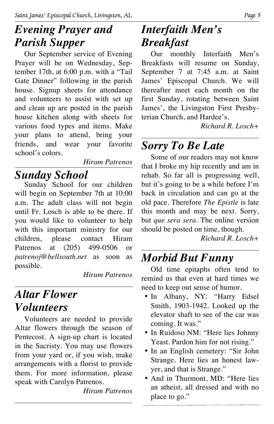# *Evening Prayer and Parish Supper*

Our September service of Evening Prayer will be on Wednesday, September 17th, at 6:00 p.m. with a "Tail Gate Dinner" following in the parish house. Signup sheets for attendance and volunteers to assist with set up and clean up are posted in the parish house kitchen along with sheets for various food types and items. Make your plans to attend, bring your friends, and wear your favorite school's colors.

*Hiram Patrenos*

#### *Sunday School*

Sunday School for our children will begin on September 7th at 10:00 a.m. The adult class will not begin until Fr. Losch is able to be there. If you would like to volunteer to help with this important ministry for our children, please contact Hiram Patrenos at (205) 499-0506 or *patrenoj@bellsouth.net* as soon as possible.

*Hiram Patrenos*

### *Altar Flower Volunteers*

Volunteers are needed to provide Altar flowers through the season of Pentecost. A sign-up chart is located in the Sacristy. You may use flowers from your yard or, if you wish, make arrangements with a florist to provide them. For more information, please speak with Carolyn Patrenos.

*Hiram Patrenos*

# *Interfaith Men's Breakfast*

Our monthly Interfaith Men's Breakfasts will resume on Sunday, September 7 at 7:45 a.m. at Saint James' Episcopal Church. We will thereafter meet each month on the first Sunday, rotating between Saint James', the Livingston First Presbyterian Church, and Hardee's.

*Richard R. Losch+*

# *Sorry To Be Late*

Some of our readers may not know that I broke my hip recently and am in rehab. So far all is progressing well, but it's going to be a while before I'm back in circulation and can go at the old pace. Therefore *The Epistle* is late this month and may be next. Sorry, but *que sera sera*. The online version should be posted on time, though.

*Richard R. Losch+*

# *Morbid But Funny*

Old time epitaphs often tend to remind us that even at hard times we need to keep out sense of humor.

- In Albany, NY: "Harry Edsel Smith, 1903-1942. Looked up the elevator shaft to see of the car was coming. It was."
- In Ruidoso NM: "Here lies Johnny Yeast. Pardon him for not rising."
- In an English cemetery: "Sir John Strange. Here lies an honest lawyer, and that is Strange."
- And in Thurmont, MD: "Here lies an atheist, all dressed and with no place to go."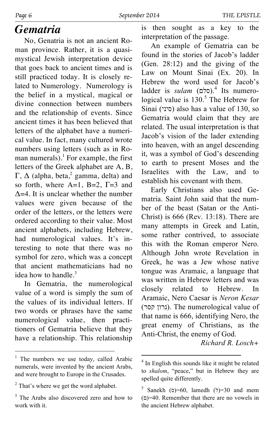#### *Gematria*

No, Genatria is not an ancient Roman province. Rather, it is a quasimystical Jewish interpretation device that goes back to ancient times and is still practiced today. It is closely related to Numerology. Numerology is the belief in a mystical, magical or divine connection between numbers and the relationship of events. Since ancient times it has been believed that letters of the alphabet have a numerical value. In fact, many cultured wrote numbers using letters (such as in Roman numerals).<sup>1</sup> For example, the first letters of the Greek alphabet are A, B, Γ, Δ (alpha, beta,<sup>2</sup> gamma, delta) and so forth, where  $A=1$ ,  $B=2$ ,  $\Gamma=3$  and Δ=4. It is unclear whether the number values were given because of the order of the letters, or the letters were ordered according to their value. Most ancient alphabets, including Hebrew, had numerological values. It's interesting to note that there was no symbol for zero, which was a concept that ancient mathematicians had no idea how to handle. $3$ 

In Gematria, the numerological value of a word is simply the sum of the values of its individual letters. If two words or phrases have the same numerological value, then practitioners of Gematria believe that they have a relationship. This relationship is then sought as a key to the interpretation of the passage.

An example of Gematria can be found in the stories of Jacob's ladder (Gen. 28:12) and the giving of the Law on Mount Sinai (Ex. 20). In Hebrew the word used for Jacob's ladder is *sulam* (סלם).<sup>4</sup> Its numerological value is 130.<sup>5</sup> The Hebrew for Sinai (סיני) also has a value of 130, so Gematria would claim that they are related. The usual interpretation is that Jacob's vision of the lader extending into heaven, with an angel descending it, was a symbol of God's descending to earth to present Moses and the Israelites with the Law, and to establish his covenant with them.

Early Christians also used Gematria. Saint John said that the number of the beast (Satan or the Anti-Christ) is 666 (Rev. 13:18). There are many attempts in Greek and Latin, some rather contrived, to associate this with the Roman emperor Nero. Although John wrote Revelation in Greek, he was a Jew whose native tongue was Aramaic, a language that was written in Hebrew letters and was closely related to Hebrew. In Aramaic, Nero Caesar is *Neron Kesar* (נרון קסר). The numerological value of that name is 666, identifying Nero, the great enemy of Christians, as the Anti-Christ, the enemy of God.

*Richard R. Losch+*

<sup>&</sup>lt;sup>1</sup> The numbers we use today, called Arabic numerals, were invented by the ancient Arabs, and were brought to Europe in the Crusades.

<sup>&</sup>lt;sup>2</sup> That's where we get the word alphabet.

<sup>&</sup>lt;sup>3</sup> The Arabs also discovered zero and how to work with it.

<sup>&</sup>lt;sup>4</sup> In English this sounds like it might be related to *shalom*, "peace," but in Hebrew they are spelled quite differently.

 $5$  Sanekh ( $\sigma$ )=60, lamedh ( $\tau$ )=30 and mem  $(2)$ =40. Remember that there are no vowels in the ancient Hebrew alphabet.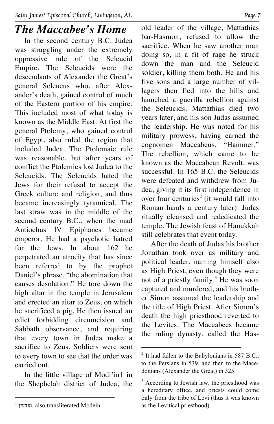# *The Maccabee's Home*

In the second century B.C. Judea was struggling under the extremely oppressive rule of the Seleucid Empire. The Seleucids were the descendants of Alexander the Great's general Seleucus who, after Alexander's death, gained control of much of the Eastern portion of his empire. This included most of what today is known as the Middle East. At first the general Ptolemy, who gained control of Egypt, also ruled the region that included Judea. The Ptolemaic rule was reasonable, but after years of conflict the Ptolemies lost Judea to the Seleucids. The Seleucids hated the Jews for their refusal to accept the Greek culture and religion, and thus became increasingly tyrannical. The last straw was in the middle of the second century B.C., when the mad Antiochus IV Epiphanes became emperor. He had a psychotic hatred for the Jews. In about 162 he perpetrated an atrocity that has since been referred to by the prophet Daniel's phrase, "the abomination that causes desolation." He tore down the high altar in the temple in Jerusalem and erected an altar to Zeus, on which he sacrificed a pig. He then issued an edict forbidding circumcision and Sabbath observance, and requiring that every town in Judea make a sacrifice to Zeus. Soldiers were sent to every town to see that the order was carried out.

In the little village of Modi'in1 in the Shephelah district of Judea, the old leader of the village, Mattathias bar-Hasmon, refused to allow the sacrifice. When he saw another man doing so, in a fit of rage he struck down the man and the Seleucid soldier, killing them both. He and his five sons and a large number of villagers then fled into the hills and launched a guerilla rebellion against the Seleucids. Mattathias died two years later, and his son Judas assumed the leadership. He was noted for his military prowess, having earned the cognomen Maccabeus, "Hammer." The rebellion, which came to be known as the Maccabean Revolt, was successful. In 165 B.C. the Seleucids were defeated and withdrew from Judea, giving it its first independence in over four centuries<sup>2</sup> (it would fall into Roman hands a century later). Judas ritually cleansed and rededicated the temple. The Jewish feast of Hanukkah still celebrates that event today.

After the death of Judas his brother Jonathan took over as military and political leader, naming himself also as High Priest, even though they were not of a priestly family. <sup>3</sup> He was soon captured and murdered, and his brother Simon assumed the leadership and the title of High Priest. After Simon's death the high priesthood reverted to the Levites. The Maccabees became the ruling dynasty, called the Has-

<sup>&</sup>lt;sup>1</sup> מודעין. also transliterated Modein.

 $^{2}$  It had fallen to the Babylonians in 587 B.C., to the Persians in 539, and then to the Macedonians (Alexander the Great) in 325.

<sup>&</sup>lt;sup>3</sup> According to Jewish law, the priesthood was a hereditary office, and priests could come only from the tribe of Levi (thus it was known as the Levitical priesthood).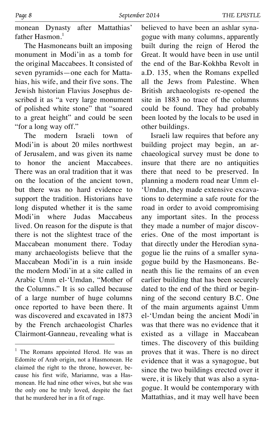monean Dynasty after Mattathias' father Hasmon<sup>1</sup>

The Hasmoneans built an imposing monument in Modi'in as a tomb for the original Maccabees. It consisted of seven pyramids—one each for Mattahias, his wife, and their five sons. The Jewish historian Flavius Josephus described it as "a very large monument of polished white stone" that "soared to a great height" and could be seen "for a long way off."

The modern Israeli town of Modi'in is about 20 miles northwest of Jerusalem, and was given its name to honor the ancient Maccabees. There was an oral tradition that it was on the location of the ancient town, but there was no hard evidence to support the tradition. Historians have long disputed whether it is the same Modi'in where Judas Maccabeus lived. On reason for the dispute is that there is not the slightest trace of the Maccabean monument there. Today many archaeologists believe that the Maccabean Modi'in is a ruin inside the modern Modi'in at a site called in Arabic Umm el-'Umdan, "Mother of the Columns." It is so called because of a large number of huge columns once reported to have been there. It was discovered and excavated in 1873 by the French archaeologist Charles Clairmont-Ganneau, revealing what is believed to have been an ashlar synagogue with many columns, apparently built during the reign of Herod the Great. It would have been in use until the end of the Bar-Kokhba Revolt in a.D. 135, when the Romans expelled all the Jews from Palestine. When British archaeologists re-opened the site in 1883 no trace of the columns could be found. They had probably been looted by the locals to be used in other buildings.

Israeli law requires that before any building project may begin, an archaeological survey must be done to insure that there are no antiquities there that need to be preserved. In planning a modern road near Umm el- 'Umdan, they made extensive excavations to determine a safe route for the road in order to avoid compromising any important sites. In the process they made a number of major discoveries. One of the most important is that directly under the Herodian synagogue lie the ruins of a smaller synagogue build by the Hasmoneans. Beneath this lie the remains of an even earlier building that has been securely dated to the end of the third or beginning of the second century B.C. One of the main arguments against Umm el-'Umdan being the ancient Modi'in was that there was no evidence that it existed as a village in Maccabean times. The discovery of this building proves that it was. There is no direct evidence that it was a synagogue, but since the two buildings erected over it were, it is likely that was also a synagogue. It would be contemporary with Mattathias, and it may well have been

<sup>&</sup>lt;sup>1</sup> The Romans appointed Herod. He was an Edomite of Arab origin, not a Hasmonean. He claimed the right to the throne, however, because his first wife, Mariamne, was a Hasmonean. He had nine other wives, but she was the only one he truly loved, despite the fact that he murdered her in a fit of rage.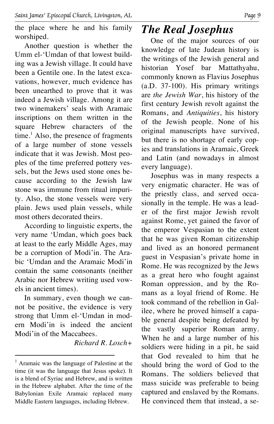the place where he and his family worshiped.

Another question is whether the Umm el-'Umdan of that lowest building was a Jewish village. It could have been a Gentile one. In the latest excavations, however, much evidence has been unearthed to prove that it was indeed a Jewish village. Among it are two winemakers' seals with Aramaic inscriptions on them written in the square Hebrew characters of the time.<sup>1</sup> Also, the presence of fragments of a large number of stone vessels indicate that it was Jewish. Most peoples of the time preferred pottery vessels, but the Jews used stone ones because according to the Jewish law stone was immune from ritual impurity. Also, the stone vessels were very plain. Jews used plain vessels, while most others decorated theirs.

According to linguistic experts, the very name 'Umdan, which goes back at least to the early Middle Ages, may be a corruption of Modi'in. The Arabic 'Umdan and the Aramaic Modi'in contain the same consonants (neither Arabic nor Hebrew writing used vowels in ancient times).

In summary, even though we cannot be positive, the evidence is very strong that Umm el-'Umdan in modern Modi'in is indeed the ancient Modi'in of the Maccabees.

*Richard R. Losch+*

#### *The Real Josephus*

One of the major sources of our knowledge of late Judean history is the writings of the Jewish general and historian Yosef bar Mattathyahu, commonly known as Flavius Josephus (a.D. 37-100). His primary writings are *the Jewish War*, his history of the first century Jewish revolt against the Romans, and *Antiquities*, his history of the Jewish people. None of his original manuscripts have survived, but there is no shortage of early copies and translations in Aramaic, Greek and Latin (and nowadays in almost every language).

Josephus was in many respects a very enigmatic character. He was of the priestly class, and served occasionally in the temple. He was a leader of the first major Jewish revolt against Rome, yet gained the favor of the emperor Vespasian to the extent that he was given Roman citizenship and lived as an honored permanent guest in Vespasian's private home in Rome. He was recognized by the Jews as a great hero who fought against Roman oppression, and by the Romans as a loyal friend of Rome. He took command of the rebellion in Galilee, where he proved himself a capable general despite being defeated by the vastly superior Roman army. When he and a large number of his soldiers were hiding in a pit, he said that God revealed to him that he should bring the word of God to the Romans. The soldiers believed that mass suicide was preferable to being captured and enslaved by the Romans. He convinced them that instead, a se-

 $<sup>1</sup>$  Aramaic was the language of Palestine at the</sup> time (it was the language that Jesus spoke). It is a blend of Syriac and Hebrew, and is written in the Hebrew alphabet. After the time of the Babylonian Exile Aramaic replaced many Middle Eastern languages, including Hebrew.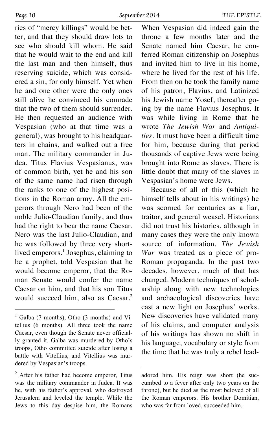ries of "mercy killings" would be better, and that they should draw lots to see who should kill whom. He said that he would wait to the end and kill the last man and then himself, thus reserving suicide, which was considered a sin, for only himself. Yet when he and one other were the only ones still alive he convinced his comrade that the two of them should surrender. He then requested an audience with Vespasian (who at that time was a general), was brought to his headquarters in chains, and walked out a free man. The military commander in Judea, Titus Flavius Vespasianus, was of common birth, yet he and his son of the same name had risen through the ranks to one of the highest positions in the Roman army. All the emperors through Nero had been of the noble Julio-Claudian family, and thus had the right to bear the name Caesar. Nero was the last Julio-Claudian, and he was followed by three very shortlived emperors.<sup>1</sup> Josephus, claiming to be a prophet, told Vespasian that he would become emperor, that the Roman Senate would confer the name Caesar on him, and that his son Titus would succeed him, also as Caesar. 2

When Vespasian did indeed gain the throne a few months later and the Senate named him Caesar, he conferred Roman citizenship on Josephus and invited him to live in his home, where he lived for the rest of his life. From then on he took the family name of his patron, Flavius, and Latinized his Jewish name Yosef, thereafter going by the name Flavius Josephus. It was while living in Rome that he wrote *The Jewish War* and *Antiquities*. It must have been a difficult time for him, because during that period thousands of captive Jews were being brought into Rome as slaves. There is little doubt that many of the slaves in Vespasian's home were Jews.

Because of all of this (which he himself tells about in his writings) he was scorned for centuries as a liar, traitor, and general weasel. Historians did not trust his histories, although in many cases they were the only known source of information. *The Jewish War* was treated as a piece of pro-Roman propaganda. In the past two decades, however, much of that has changed. Modern techniques of scholarship along with new technologies and archaeological discoveries have cast a new light on Josephus' works. New discoveries have validated many of his claims, and computer analysis of his writings has shown no shift in his language, vocabulary or style from the time that he was truly a rebel lead-

 $<sup>1</sup>$  Galba (7 months), Otho (3 months) and Vi-</sup> tellius (6 months). All three took the name Caesar, even though the Senate never officially granted it. Galba was murdered by Otho's troops, Otho committed suicide after losing a battle with Vitellius, and Vitellius was murdered by Vespasian's troops.

<sup>&</sup>lt;sup>2</sup> After his father had become emperor, Titus was the military commander in Judea. It was he, with his father's approval, who destroyed Jerusalem and leveled the temple. While the Jews to this day despise him, the Romans

adored him. His reign was short (he succumbed to a fever after only two years on the throne), but he died as the most beloved of all the Roman emperors. His brother Domitian, who was far from loved, succeeded him.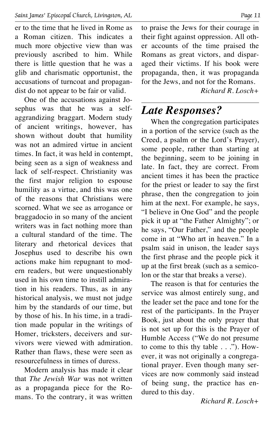er to the time that he lived in Rome as a Roman citizen. This indicates a much more objective view than was previously ascribed to him. While there is little question that he was a glib and charismatic opportunist, the accusations of turncoat and propagandist do not appear to be fair or valid.

One of the accusations against Josephus was that he was a selfaggrandizing braggart. Modern study of ancient writings, however, has shown without doubt that humility was not an admired virtue in ancient times. In fact, it was held in contempt, being seen as a sign of weakness and lack of self-respect. Christianity was the first major religion to espouse humility as a virtue, and this was one of the reasons that Christians were scorned. What we see as arrogance or braggadocio in so many of the ancient writers was in fact nothing more than a cultural standard of the time. The literary and rhetorical devices that Josephus used to describe his own actions make him repugnant to modern readers, but were unquestionably used in his own time to instill admiration in his readers. Thus, as in any historical analysis, we must not judge him by the standards of our time, but by those of his. In his time, in a tradition made popular in the writings of Homer, tricksters, deceivers and survivors were viewed with admiration. Rather than flaws, these were seen as resourcefulness in times of duress.

Modern analysis has made it clear that *The Jewish War* was not written as a propaganda piece for the Romans. To the contrary, it was written to praise the Jews for their courage in their fight against oppression. All other accounts of the time praised the Romans as great victors, and disparaged their victims. If his book were propaganda, then, it was propaganda for the Jews, and not for the Romans.

*Richard R. Losch+*

#### *Late Responses?*

When the congregation participates in a portion of the service (such as the Creed, a psalm or the Lord's Prayer), some people, rather than starting at the beginning, seem to be joining in late. In fact, they are correct. From ancient times it has been the practice for the priest or leader to say the first phrase, then the congregation to join him at the next. For example, he says, "I believe in One God" and the people pick it up at "the Father Almighty"; or he says, "Our Father," and the people come in at "Who art in heaven." In a psalm said in unison, the leader says the first phrase and the people pick it up at the first break (such as a semicolon or the star that breaks a verse).

The reason is that for centuries the service was almost entirely sung, and the leader set the pace and tone for the rest of the participants. In the Prayer Book, just about the only prayer that is not set up for this is the Prayer of Humble Access ("We do not presume to come to this thy table . . ."). However, it was not originally a congregational prayer. Even though many services are now commonly said instead of being sung, the practice has endured to this day.